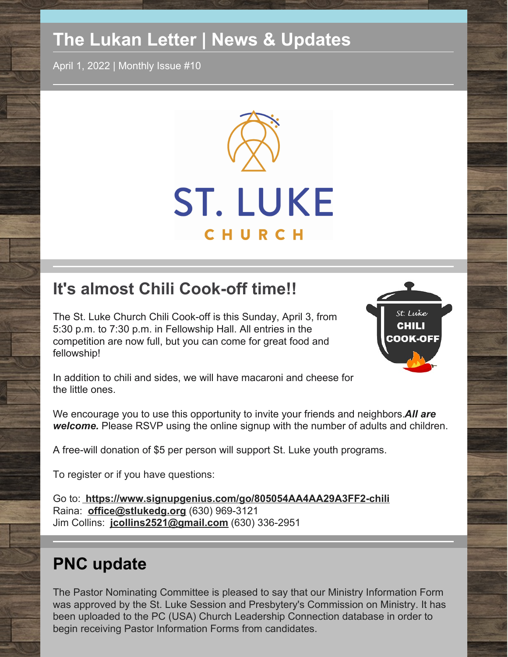# **The Lukan Letter | News & Updates**

April 1, 2022 | Monthly Issue #10



# **It's almost Chili Cook-off time!!**

The St. Luke Church Chili Cook-off is this Sunday, April 3, from 5:30 p.m. to 7:30 p.m. in Fellowship Hall. All entries in the competition are now full, but you can come for great food and fellowship!



In addition to chili and sides, we will have macaroni and cheese for the little ones.

We encourage you to use this opportunity to invite your friends and neighbors.*All are welcome.* Please RSVP using the online signup with the number of adults and children.

A free-will donation of \$5 per person will support St. Luke youth programs.

To register or if you have questions:

Go to: **<https://www.signupgenius.com/go/805054AA4AA29A3FF2-chili>** Raina: **[office@stlukedg.org](http://office@stlukedg.org)** (630) 969-3121 Jim Collins: **[jcollins2521@gmail.com](http://jcollins2521@gmail.com)** (630) 336-2951

# **PNC update**

The Pastor Nominating Committee is pleased to say that our Ministry Information Form was approved by the St. Luke Session and Presbytery's Commission on Ministry. It has been uploaded to the PC (USA) Church Leadership Connection database in order to begin receiving Pastor Information Forms from candidates.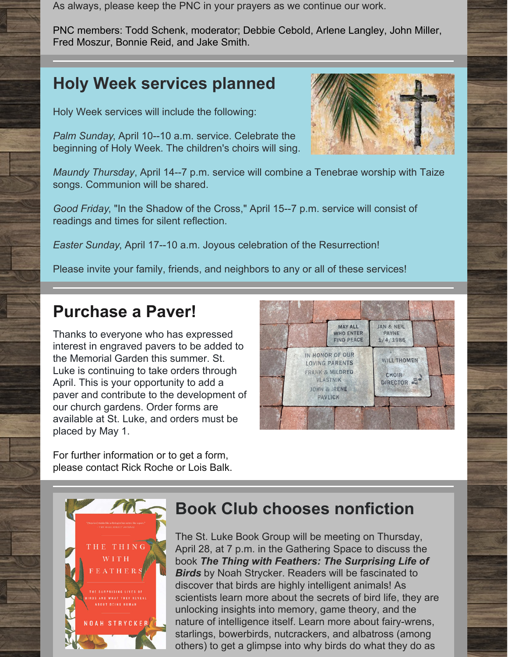As always, please keep the PNC in your prayers as we continue our work.

PNC members: Todd Schenk, moderator; Debbie Cebold, Arlene Langley, John Miller, Fred Moszur, Bonnie Reid, and Jake Smith.

## **Holy Week services planned**

Holy Week services will include the following:

*Palm Sunday*, April 10--10 a.m. service. Celebrate the beginning of Holy Week. The children's choirs will sing.

*Maundy Thursday*, April 14--7 p.m. service will combine a Tenebrae worship with Taize songs. Communion will be shared.

*Good Friday*, "In the Shadow of the Cross," April 15--7 p.m. service will consist of readings and times for silent reflection.

*Easter Sunday*, April 17--10 a.m. Joyous celebration of the Resurrection!

Please invite your family, friends, and neighbors to any or all of these services!

## **Purchase a Paver!**

Thanks to everyone who has expressed interest in engraved pavers to be added to the Memorial Garden this summer. St. Luke is continuing to take orders through April. This is your opportunity to add a paver and contribute to the development of our church gardens. Order forms are available at St. Luke, and orders must be placed by May 1.

For further information or to get a form, please contact Rick Roche or Lois Balk.



## **Book Club chooses nonfiction**

The St. Luke Book Group will be meeting on Thursday, April 28, at 7 p.m. in the Gathering Space to discuss the book *The Thing with Feathers: The Surprising Life of Birds* by Noah Strycker. Readers will be fascinated to discover that birds are highly intelligent animals! As scientists learn more about the secrets of bird life, they are unlocking insights into memory, game theory, and the nature of intelligence itself. Learn more about fairy-wrens, starlings, bowerbirds, nutcrackers, and albatross (among others) to get a glimpse into why birds do what they do as



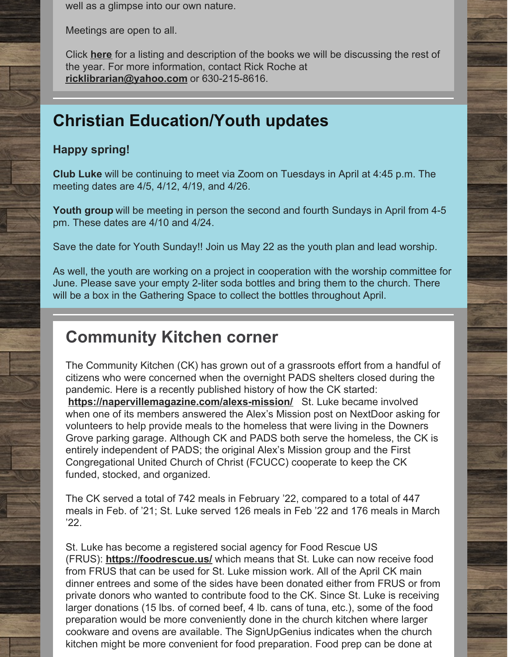well as a glimpse into our own nature.

Meetings are open to all.

Click **[here](https://files.constantcontact.com/af238e8a601/8e2eb7c3-fdf1-4a6c-8a48-83ee32092d28.pdf)** for a listing and description of the books we will be discussing the rest of the year. For more information, contact Rick Roche at **[ricklibrarian@yahoo.com](mailto:ricklibrarian@yahoo.com)** or 630-215-8616.

## **Christian Education/Youth updates**

### **Happy spring!**

**Club Luke** will be continuing to meet via Zoom on Tuesdays in April at 4:45 p.m. The meeting dates are 4/5, 4/12, 4/19, and 4/26.

**Youth group** will be meeting in person the second and fourth Sundays in April from 4-5 pm. These dates are 4/10 and 4/24.

Save the date for Youth Sunday!! Join us May 22 as the youth plan and lead worship.

As well, the youth are working on a project in cooperation with the worship committee for June. Please save your empty 2-liter soda bottles and bring them to the church. There will be a box in the Gathering Space to collect the bottles throughout April.

## **Community Kitchen corner**

The Community Kitchen (CK) has grown out of a grassroots effort from a handful of citizens who were concerned when the overnight PADS shelters closed during the pandemic. Here is a recently published history of how the CK started: **<https://napervillemagazine.com/alexs-mission/>** St. Luke became involved when one of its members answered the Alex's Mission post on NextDoor asking for volunteers to help provide meals to the homeless that were living in the Downers Grove parking garage. Although CK and PADS both serve the homeless, the CK is entirely independent of PADS; the original Alex's Mission group and the First Congregational United Church of Christ (FCUCC) cooperate to keep the CK funded, stocked, and organized.

The CK served a total of 742 meals in February '22, compared to a total of 447 meals in Feb. of '21; St. Luke served 126 meals in Feb '22 and 176 meals in March '22.

St. Luke has become a registered social agency for Food Rescue US (FRUS): **<https://foodrescue.us/>** which means that St. Luke can now receive food from FRUS that can be used for St. Luke mission work. All of the April CK main dinner entrees and some of the sides have been donated either from FRUS or from private donors who wanted to contribute food to the CK. Since St. Luke is receiving larger donations (15 lbs. of corned beef, 4 lb. cans of tuna, etc.), some of the food preparation would be more conveniently done in the church kitchen where larger cookware and ovens are available. The SignUpGenius indicates when the church kitchen might be more convenient for food preparation. Food prep can be done at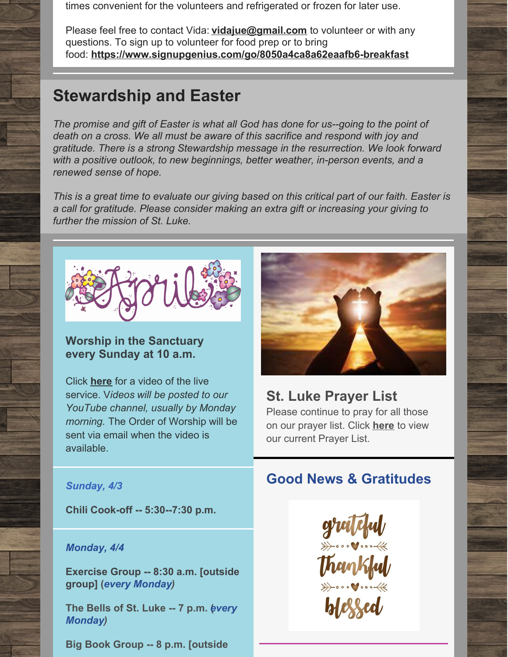times convenient for the volunteers and refrigerated or frozen for later use.

Please feel free to contact Vida: **[vidajue@gmail.com](http://vidajue@gmail.com)** to volunteer or with any questions. To sign up to volunteer for food prep or to bring food: **<https://www.signupgenius.com/go/8050a4ca8a62eaafb6-breakfast>**

### **Stewardship and Easter**

*The promise and gift of Easter is what all God has done for us--going to the point of death on a cross. We all must be aware of this sacrifice and respond with joy and gratitude. There is a strong Stewardship message in the resurrection. We look forward with a positive outlook, to new beginnings, better weather, in-person events, and a renewed sense of hope.*

This is a great time to evaluate our giving based on this critical part of our faith. Easter is *a call for gratitude. Please consider making an extra gift or increasing your giving to further the mission of St. Luke.*



### **Worship in the Sanctuary every Sunday at 10 a.m.**

Click **[here](https://www.youtube.com/watch?v=sd1XzhAl-_A)** for a video of the live service. V*ideos will be posted to our YouTube channel, usually by Monday morning.* The Order of Worship will be sent via email when the video is available.



### **St. Luke Prayer List**

Please continue to pray for all those on our prayer list. Click **[here](https://docs.google.com/document/d/1xEAa64yLNOkP8ZWdwJZ9OJiypUaLpFwgL5BUXclkz6A/edit?usp=sharing)** to view our current Prayer List.

#### *Sunday, 4/3*

**Chili Cook-off -- 5:30--7:30 p.m.**

#### *Monday, 4/4*

**Exercise Group -- 8:30 a.m. [outside group] (***every Monday)*

**The Bells of St. Luke -- 7 p.m.** *e***(** *very Monday)*

**Big Book Group -- 8 p.m. [outside**

### **Good News & Gratitudes**

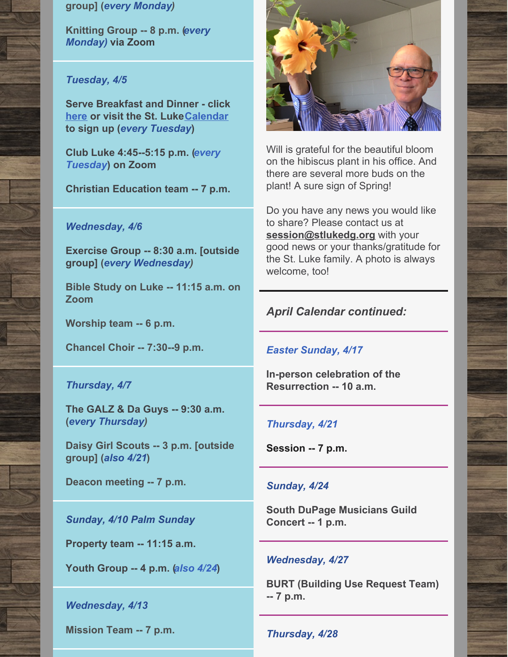#### **group] (***every Monday)*

**Knitting Group -- 8 p.m. (***every Monday)* **via Zoom**

#### *Tuesday, 4/5*

**Serve Breakfast and Dinner - click [here](https://www.signupgenius.com/go/8050a4ca8a62eaafb6-breakfast) or visit the St. Luke[Calendar](https://www.stlukedg.org/events) to sign up (***every Tuesday***)**

**Club Luke 4:45--5:15 p.m. (***every Tuesday***) on Zoom**

**Christian Education team -- 7 p.m.**

#### *Wednesday, 4/6*

**Exercise Group -- 8:30 a.m. [outside group] (***every Wednesday)*

**Bible Study on Luke -- 11:15 a.m. on Zoom**

**Worship team -- 6 p.m.**

**Chancel Choir -- 7:30--9 p.m.**

#### *Thursday, 4/7*

**The GALZ & Da Guys -- 9:30 a.m. (***every Thursday)*

**Daisy Girl Scouts -- 3 p.m. [outside group] (***also 4/21***)**

**Deacon meeting -- 7 p.m.**

*Sunday, 4/10 Palm Sunday*

**Property team -- 11:15 a.m.**

**Youth Group -- 4 p.m. (***also 4/24***)**

#### *Wednesday, 4/13*

**Mission Team -- 7 p.m.**



Will is grateful for the beautiful bloom on the hibiscus plant in his office. And there are several more buds on the plant! A sure sign of Spring!

Do you have any news you would like to share? Please contact us at **[session@stlukedg.org](mailto:session@stlukedg.org)** with your good news or your thanks/gratitude for the St. Luke family. A photo is always welcome, too!

#### *April Calendar continued:*

*Easter Sunday, 4/17*

**In-person celebration of the Resurrection -- 10 a.m.**

#### *Thursday, 4/21*

**Session -- 7 p.m.**

#### *Sunday, 4/24*

**South DuPage Musicians Guild Concert -- 1 p.m.**

#### *Wednesday, 4/27*

**BURT (Building Use Request Team) -- 7 p.m.**

*Thursday, 4/28*